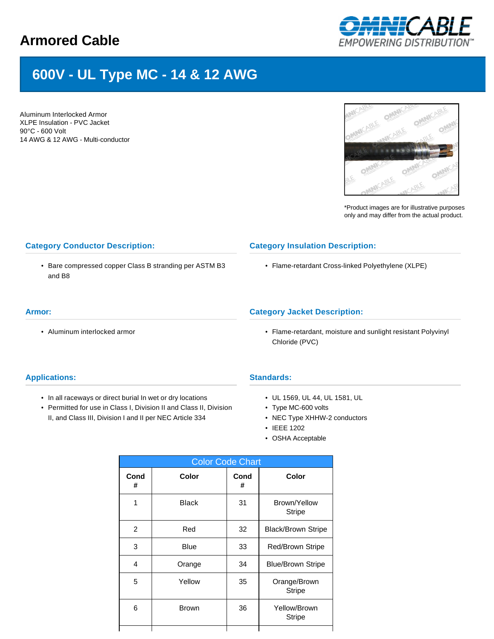# **Armored Cable**



# **600V - UL Type MC - 14 & 12 AWG**

Aluminum Interlocked Armor XLPE Insulation - PVC Jacket 90°C - 600 Volt 14 AWG & 12 AWG - Multi-conductor



\*Product images are for illustrative purposes only and may differ from the actual product.

# **Category Conductor Description:**

• Bare compressed copper Class B stranding per ASTM B3 and B8

## **Category Insulation Description:**

• Flame-retardant Cross-linked Polyethylene (XLPE)

#### **Armor:**

• Aluminum interlocked armor

# **Category Jacket Description:**

• Flame-retardant, moisture and sunlight resistant Polyvinyl Chloride (PVC)

### **Applications:**

- In all raceways or direct burial In wet or dry locations
- Permitted for use in Class I, Division II and Class II, Division II, and Class III, Division I and II per NEC Article 334

### **Standards:**

- UL 1569, UL 44, UL 1581, UL
- Type MC-600 volts
- NEC Type XHHW-2 conductors
- IEEE 1202
- OSHA Acceptable

| <b>Color Code Chart</b> |              |           |                               |  |  |  |  |  |
|-------------------------|--------------|-----------|-------------------------------|--|--|--|--|--|
| Cond<br>#               | Color        | Cond<br># | Color                         |  |  |  |  |  |
| 1                       | <b>Black</b> | 31        | Brown/Yellow<br><b>Stripe</b> |  |  |  |  |  |
| 2                       | Red          | 32        | <b>Black/Brown Stripe</b>     |  |  |  |  |  |
| 3                       | <b>Blue</b>  | 33        | Red/Brown Stripe              |  |  |  |  |  |
| 4                       | Orange       | 34        | <b>Blue/Brown Stripe</b>      |  |  |  |  |  |
| 5                       | Yellow       | 35        | Orange/Brown<br><b>Stripe</b> |  |  |  |  |  |
| 6                       | <b>Brown</b> | 36        | Yellow/Brown<br><b>Stripe</b> |  |  |  |  |  |
|                         |              |           |                               |  |  |  |  |  |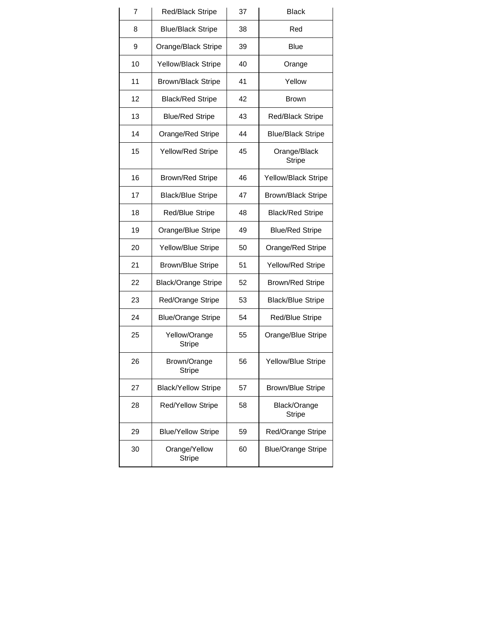| 7  | Red/Black Stripe               | 37                           | <b>Black</b>                  |  |  |
|----|--------------------------------|------------------------------|-------------------------------|--|--|
| 8  | <b>Blue/Black Stripe</b>       | 38                           | Red                           |  |  |
| 9  | Orange/Black Stripe            | 39                           | Blue                          |  |  |
| 10 | Yellow/Black Stripe            | 40                           | Orange                        |  |  |
| 11 | <b>Brown/Black Stripe</b>      | 41                           | Yellow                        |  |  |
| 12 | <b>Black/Red Stripe</b>        | 42                           | <b>Brown</b>                  |  |  |
| 13 | <b>Blue/Red Stripe</b>         | 43                           | Red/Black Stripe              |  |  |
| 14 | Orange/Red Stripe              | 44                           | <b>Blue/Black Stripe</b>      |  |  |
| 15 | Yellow/Red Stripe              | 45                           | Orange/Black<br><b>Stripe</b> |  |  |
| 16 | <b>Brown/Red Stripe</b>        | 46                           | Yellow/Black Stripe           |  |  |
| 17 | <b>Black/Blue Stripe</b>       | 47                           | <b>Brown/Black Stripe</b>     |  |  |
| 18 | <b>Red/Blue Stripe</b>         | 48                           | <b>Black/Red Stripe</b>       |  |  |
| 19 | Orange/Blue Stripe             | 49<br><b>Blue/Red Stripe</b> |                               |  |  |
| 20 | Yellow/Blue Stripe             | 50<br>Orange/Red Stripe      |                               |  |  |
| 21 | <b>Brown/Blue Stripe</b>       | 51                           | Yellow/Red Stripe             |  |  |
| 22 | <b>Black/Orange Stripe</b>     | 52                           | <b>Brown/Red Stripe</b>       |  |  |
| 23 | Red/Orange Stripe              | 53                           | <b>Black/Blue Stripe</b>      |  |  |
| 24 | <b>Blue/Orange Stripe</b>      | 54                           | Red/Blue Stripe               |  |  |
| 25 | Yellow/Orange<br><b>Stripe</b> | 55                           | Orange/Blue Stripe            |  |  |
| 26 | Brown/Orange<br>Stripe         | 56                           | Yellow/Blue Stripe            |  |  |
| 27 | <b>Black/Yellow Stripe</b>     | 57                           | <b>Brown/Blue Stripe</b>      |  |  |
| 28 | <b>Red/Yellow Stripe</b>       | 58                           | Black/Orange<br><b>Stripe</b> |  |  |
| 29 | <b>Blue/Yellow Stripe</b>      | 59                           | Red/Orange Stripe             |  |  |
| 30 | Orange/Yellow<br><b>Stripe</b> | 60                           | <b>Blue/Orange Stripe</b>     |  |  |